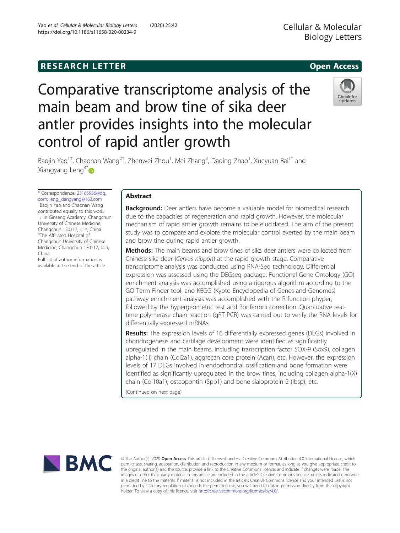## **RESEARCH LETTER CHIPS AND EXAMPLE A** CHIPS AND THE SERIES OPEN ACCESS

# Comparative transcriptome analysis of the main beam and brow tine of sika deer antler provides insights into the molecular control of rapid antler growth



Baojin Yao<sup>1†</sup>, Chaonan Wang<sup>2†</sup>, Zhenwei Zhou<sup>1</sup>, Mei Zhang<sup>3</sup>, Daqing Zhao<sup>1</sup>, Xueyuan Bai<sup>1\*</sup> and Xiangyang Leng $4^*$ 

\* Correspondence: [23165956@qq.](mailto:23165956@qq.com) [com](mailto:23165956@qq.com); [leng\\_xiangyang@163.com](mailto:leng_xiangyang@163.com) † Baojin Yao and Chaonan Wang contributed equally to this work. 1 Jilin Ginseng Academy, Changchun University of Chinese Medicine, Changchun 130117, Jilin, China 4 The Affiliated Hospital of Changchun University of Chinese Medicine, Changchun 130117, Jilin, China

Full list of author information is available at the end of the article

## Abstract

**Background:** Deer antlers have become a valuable model for biomedical research due to the capacities of regeneration and rapid growth. However, the molecular mechanism of rapid antler growth remains to be elucidated. The aim of the present study was to compare and explore the molecular control exerted by the main beam and brow tine during rapid antler growth.

**Methods:** The main beams and brow tines of sika deer antlers were collected from Chinese sika deer (Cervus nippon) at the rapid growth stage. Comparative transcriptome analysis was conducted using RNA-Seq technology. Differential expression was assessed using the DEGseq package. Functional Gene Ontology (GO) enrichment analysis was accomplished using a rigorous algorithm according to the GO Term Finder tool, and KEGG (Kyoto Encyclopedia of Genes and Genomes) pathway enrichment analysis was accomplished with the R function phyper, followed by the hypergeometric test and Bonferroni correction. Quantitative realtime polymerase chain reaction (qRT-PCR) was carried out to verify the RNA levels for differentially expressed mRNAs.

Results: The expression levels of 16 differentially expressed genes (DEGs) involved in chondrogenesis and cartilage development were identified as significantly upregulated in the main beams, including transcription factor SOX-9 (Sox9), collagen alpha-1(II) chain (Col2a1), aggrecan core protein (Acan), etc. However, the expression levels of 17 DEGs involved in endochondral ossification and bone formation were identified as significantly upregulated in the brow tines, including collagen alpha-1(X) chain (Col10a1), osteopontin (Spp1) and bone sialoprotein 2 (Ibsp), etc.

(Continued on next page)



© The Author(s). 2020 Open Access This article is licensed under a Creative Commons Attribution 4.0 International License, which permits use, sharing, adaptation, distribution and reproduction in any medium or format, as long as you give appropriate credit to the original author(s) and the source, provide a link to the Creative Commons licence, and indicate if changes were made. The images or other third party material in this article are included in the article's Creative Commons licence, unless indicated otherwise in a credit line to the material. If material is not included in the article's Creative Commons licence and your intended use is not permitted by statutory regulation or exceeds the permitted use, you will need to obtain permission directly from the copyright holder. To view a copy of this licence, visit [http://creativecommons.org/licenses/by/4.0/.](http://creativecommons.org/licenses/by/4.0/)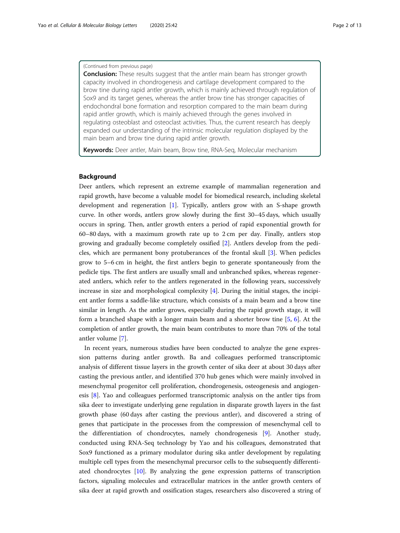## (Continued from previous page)

**Conclusion:** These results suggest that the antler main beam has stronger growth capacity involved in chondrogenesis and cartilage development compared to the brow tine during rapid antler growth, which is mainly achieved through regulation of Sox9 and its target genes, whereas the antler brow tine has stronger capacities of endochondral bone formation and resorption compared to the main beam during rapid antler growth, which is mainly achieved through the genes involved in regulating osteoblast and osteoclast activities. Thus, the current research has deeply expanded our understanding of the intrinsic molecular regulation displayed by the main beam and brow tine during rapid antler growth.

Keywords: Deer antler, Main beam, Brow tine, RNA-Seq, Molecular mechanism

## Background

Deer antlers, which represent an extreme example of mammalian regeneration and rapid growth, have become a valuable model for biomedical research, including skeletal development and regeneration [\[1](#page-11-0)]. Typically, antlers grow with an S-shape growth curve. In other words, antlers grow slowly during the first 30–45 days, which usually occurs in spring. Then, antler growth enters a period of rapid exponential growth for 60–80 days, with a maximum growth rate up to 2 cm per day. Finally, antlers stop growing and gradually become completely ossified [\[2](#page-11-0)]. Antlers develop from the pedicles, which are permanent bony protuberances of the frontal skull [\[3](#page-11-0)]. When pedicles grow to 5–6 cm in height, the first antlers begin to generate spontaneously from the pedicle tips. The first antlers are usually small and unbranched spikes, whereas regenerated antlers, which refer to the antlers regenerated in the following years, successively increase in size and morphological complexity  $[4]$  $[4]$ . During the initial stages, the incipient antler forms a saddle-like structure, which consists of a main beam and a brow tine similar in length. As the antler grows, especially during the rapid growth stage, it will form a branched shape with a longer main beam and a shorter brow tine [[5](#page-11-0), [6\]](#page-11-0). At the completion of antler growth, the main beam contributes to more than 70% of the total antler volume [\[7](#page-11-0)].

In recent years, numerous studies have been conducted to analyze the gene expression patterns during antler growth. Ba and colleagues performed transcriptomic analysis of different tissue layers in the growth center of sika deer at about 30 days after casting the previous antler, and identified 370 hub genes which were mainly involved in mesenchymal progenitor cell proliferation, chondrogenesis, osteogenesis and angiogenesis [[8\]](#page-11-0). Yao and colleagues performed transcriptomic analysis on the antler tips from sika deer to investigate underlying gene regulation in disparate growth layers in the fast growth phase (60 days after casting the previous antler), and discovered a string of genes that participate in the processes from the compression of mesenchymal cell to the differentiation of chondrocytes, namely chondrogenesis [\[9](#page-11-0)]. Another study, conducted using RNA-Seq technology by Yao and his colleagues, demonstrated that Sox9 functioned as a primary modulator during sika antler development by regulating multiple cell types from the mesenchymal precursor cells to the subsequently differentiated chondrocytes [[10\]](#page-11-0). By analyzing the gene expression patterns of transcription factors, signaling molecules and extracellular matrices in the antler growth centers of sika deer at rapid growth and ossification stages, researchers also discovered a string of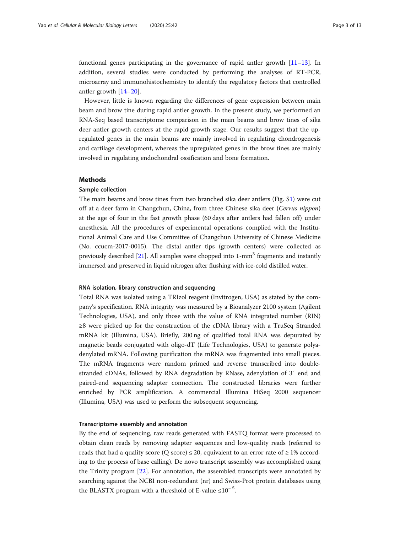functional genes participating in the governance of rapid antler growth  $[11-13]$  $[11-13]$  $[11-13]$ . In addition, several studies were conducted by performing the analyses of RT-PCR, microarray and immunohistochemistry to identify the regulatory factors that controlled antler growth [\[14](#page-11-0)–[20\]](#page-11-0).

However, little is known regarding the differences of gene expression between main beam and brow tine during rapid antler growth. In the present study, we performed an RNA-Seq based transcriptome comparison in the main beams and brow tines of sika deer antler growth centers at the rapid growth stage. Our results suggest that the upregulated genes in the main beams are mainly involved in regulating chondrogenesis and cartilage development, whereas the upregulated genes in the brow tines are mainly involved in regulating endochondral ossification and bone formation.

## Methods

## Sample collection

The main beams and brow tines from two branched sika deer antlers (Fig. [S1](#page-10-0)) were cut off at a deer farm in Changchun, China, from three Chinese sika deer (Cervus nippon) at the age of four in the fast growth phase (60 days after antlers had fallen off) under anesthesia. All the procedures of experimental operations complied with the Institutional Animal Care and Use Committee of Changchun University of Chinese Medicine (No. ccucm-2017-0015). The distal antler tips (growth centers) were collected as previously described  $[21]$  $[21]$  $[21]$ . All samples were chopped into 1-mm<sup>3</sup> fragments and instantly immersed and preserved in liquid nitrogen after flushing with ice-cold distilled water.

## RNA isolation, library construction and sequencing

Total RNA was isolated using a TRIzol reagent (Invitrogen, USA) as stated by the company's specification. RNA integrity was measured by a Bioanalyzer 2100 system (Agilent Technologies, USA), and only those with the value of RNA integrated number (RIN) ≥8 were picked up for the construction of the cDNA library with a TruSeq Stranded mRNA kit (Illumina, USA). Briefly, 200 ng of qualified total RNA was depurated by magnetic beads conjugated with oligo-dT (Life Technologies, USA) to generate polyadenylated mRNA. Following purification the mRNA was fragmented into small pieces. The mRNA fragments were random primed and reverse transcribed into doublestranded cDNAs, followed by RNA degradation by RNase, adenylation of 3′ end and paired-end sequencing adapter connection. The constructed libraries were further enriched by PCR amplification. A commercial Illumina HiSeq 2000 sequencer (Illumina, USA) was used to perform the subsequent sequencing.

#### Transcriptome assembly and annotation

By the end of sequencing, raw reads generated with FASTQ format were processed to obtain clean reads by removing adapter sequences and low-quality reads (referred to reads that had a quality score (Q score)  $\leq$  20, equivalent to an error rate of  $\geq$  1% according to the process of base calling). De novo transcript assembly was accomplished using the Trinity program [\[22](#page-11-0)]. For annotation, the assembled transcripts were annotated by searching against the NCBI non-redundant (nr) and Swiss-Prot protein databases using the BLASTX program with a threshold of E-value  $\leq 10^{-5}$ .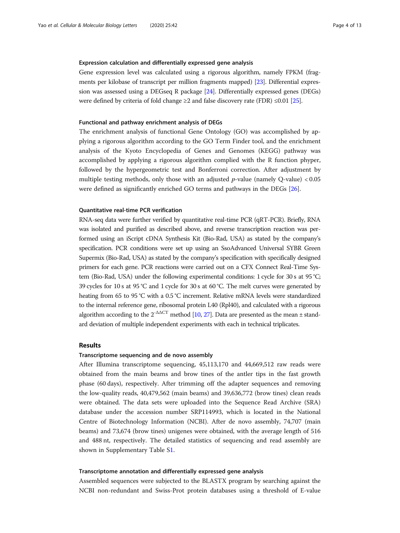## Expression calculation and differentially expressed gene analysis

Gene expression level was calculated using a rigorous algorithm, namely FPKM (fragments per kilobase of transcript per million fragments mapped) [\[23\]](#page-11-0). Differential expression was assessed using a DEGseq R package [\[24\]](#page-11-0). Differentially expressed genes (DEGs) were defined by criteria of fold change  $\geq 2$  and false discovery rate (FDR)  $\leq 0.01$  [[25\]](#page-12-0).

#### Functional and pathway enrichment analysis of DEGs

The enrichment analysis of functional Gene Ontology (GO) was accomplished by applying a rigorous algorithm according to the GO Term Finder tool, and the enrichment analysis of the Kyoto Encyclopedia of Genes and Genomes (KEGG) pathway was accomplished by applying a rigorous algorithm complied with the R function phyper, followed by the hypergeometric test and Bonferroni correction. After adjustment by multiple testing methods, only those with an adjusted  $p$ -value (namely Q-value) < 0.05 were defined as significantly enriched GO terms and pathways in the DEGs [\[26\]](#page-12-0).

## Quantitative real-time PCR verification

RNA-seq data were further verified by quantitative real-time PCR (qRT-PCR). Briefly, RNA was isolated and purified as described above, and reverse transcription reaction was performed using an iScript cDNA Synthesis Kit (Bio-Rad, USA) as stated by the company's specification. PCR conditions were set up using an SsoAdvanced Universal SYBR Green Supermix (Bio-Rad, USA) as stated by the company's specification with specifically designed primers for each gene. PCR reactions were carried out on a CFX Connect Real-Time System (Bio-Rad, USA) under the following experimental conditions: 1 cycle for 30 s at 95 °C; 39 cycles for 10 s at 95 °C and 1 cycle for 30 s at 60 °C. The melt curves were generated by heating from 65 to 95 °C with a 0.5 °C increment. Relative mRNA levels were standardized to the internal reference gene, ribosomal protein L40 (Rpl40), and calculated with a rigorous algorithm according to the  $2^{-\Delta\Delta CT}$  method [\[10,](#page-11-0) [27\]](#page-12-0). Data are presented as the mean  $\pm$  standard deviation of multiple independent experiments with each in technical triplicates.

## Results

## Transcriptome sequencing and de novo assembly

After Illumina transcriptome sequencing, 45,113,170 and 44,669,512 raw reads were obtained from the main beams and brow tines of the antler tips in the fast growth phase (60 days), respectively. After trimming off the adapter sequences and removing the low-quality reads, 40,479,562 (main beams) and 39,636,772 (brow tines) clean reads were obtained. The data sets were uploaded into the Sequence Read Archive (SRA) database under the accession number SRP114993, which is located in the National Centre of Biotechnology Information (NCBI). After de novo assembly, 74,707 (main beams) and 73,674 (brow tines) unigenes were obtained, with the average length of 516 and 488 nt, respectively. The detailed statistics of sequencing and read assembly are shown in Supplementary Table [S1](#page-10-0).

## Transcriptome annotation and differentially expressed gene analysis

Assembled sequences were subjected to the BLASTX program by searching against the NCBI non-redundant and Swiss-Prot protein databases using a threshold of E-value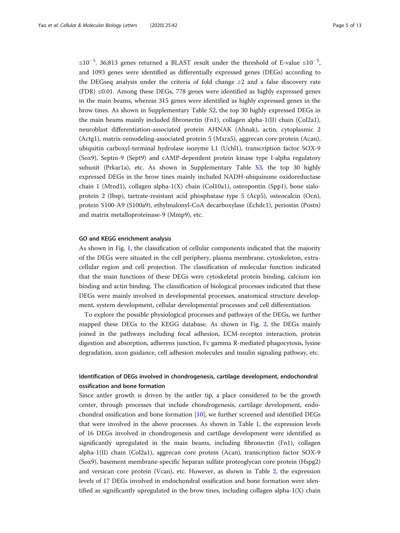≤10<sup>-5</sup>. 36,813 genes returned a BLAST result under the threshold of E-value ≤10<sup>-5</sup>, and 1093 genes were identified as differentially expressed genes (DEGs) according to the DEGseq analysis under the criteria of fold change  $\geq 2$  and a false discovery rate (FDR)  $\leq 0.01$ . Among these DEGs, 778 genes were identified as highly expressed genes in the main beams, whereas 315 genes were identified as highly expressed genes in the brow tines. As shown in Supplementary Table [S2](#page-10-0), the top 30 highly expressed DEGs in the main beams mainly included fibronectin (Fn1), collagen alpha-1(II) chain (Col2a1), neuroblast differentiation-associated protein AHNAK (Ahnak), actin, cytoplasmic 2 (Actg1), matrix-remodeling-associated protein 5 (Mxra5), aggrecan core protein (Acan), ubiquitin carboxyl-terminal hydrolase isozyme L1 (Uchl1), transcription factor SOX-9 (Sox9), Septin-9 (Sept9) and cAMP-dependent protein kinase type I-alpha regulatory subunit (Prkar1a), etc. As shown in Supplementary Table [S3](#page-10-0), the top 30 highly expressed DEGs in the brow tines mainly included NADH-ubiquinone oxidoreductase chain 1 (Mtnd1), collagen alpha-1(X) chain (Col10a1), osteopontin (Spp1), bone sialoprotein 2 (Ibsp), tartrate-resistant acid phosphatase type 5 (Acp5), osteocalcin (Ocn), protein S100-A9 (S100a9), ethylmalonyl-CoA decarboxylase (Echdc1), periostin (Postn) and matrix metalloproteinase-9 (Mmp9), etc.

## GO and KEGG enrichment analysis

As shown in Fig. [1,](#page-5-0) the classification of cellular components indicated that the majority of the DEGs were situated in the cell periphery, plasma membrane, cytoskeleton, extracellular region and cell projection. The classification of molecular function indicated that the main functions of these DEGs were cytoskeletal protein binding, calcium ion binding and actin binding. The classification of biological processes indicated that these DEGs were mainly involved in developmental processes, anatomical structure development, system development, cellular developmental processes and cell differentiation.

To explore the possible physiological processes and pathways of the DEGs, we further mapped these DEGs to the KEGG database. As shown in Fig. [2](#page-6-0), the DEGs mainly joined in the pathways including focal adhesion, ECM-receptor interaction, protein digestion and absorption, adherens junction, Fc gamma R-mediated phagocytosis, lysine degradation, axon guidance, cell adhesion molecules and insulin signaling pathway, etc.

## Identification of DEGs involved in chondrogenesis, cartilage development, endochondral ossification and bone formation

Since antler growth is driven by the antler tip, a place considered to be the growth center, through processes that include chondrogenesis, cartilage development, endochondral ossification and bone formation [[10](#page-11-0)], we further screened and identified DEGs that were involved in the above processes. As shown in Table [1](#page-7-0), the expression levels of 16 DEGs involved in chondrogenesis and cartilage development were identified as significantly upregulated in the main beams, including fibronectin (Fn1), collagen alpha-1(II) chain (Col2a1), aggrecan core protein (Acan), transcription factor SOX-9 (Sox9), basement membrane-specific heparan sulfate proteoglycan core protein (Hspg2) and versican core protein (Vcan), etc. However, as shown in Table [2](#page-8-0), the expression levels of 17 DEGs involved in endochondral ossification and bone formation were identified as significantly upregulated in the brow tines, including collagen alpha- $1(X)$  chain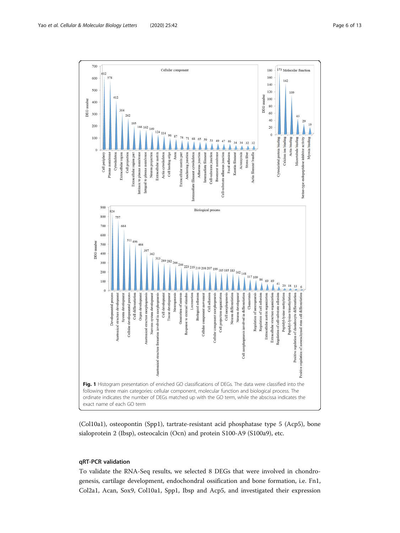<span id="page-5-0"></span>

(Col10a1), osteopontin (Spp1), tartrate-resistant acid phosphatase type 5 (Acp5), bone sialoprotein 2 (Ibsp), osteocalcin (Ocn) and protein S100-A9 (S100a9), etc.

## qRT-PCR validation

To validate the RNA-Seq results, we selected 8 DEGs that were involved in chondrogenesis, cartilage development, endochondral ossification and bone formation, i.e. Fn1, Col2a1, Acan, Sox9, Col10a1, Spp1, Ibsp and Acp5, and investigated their expression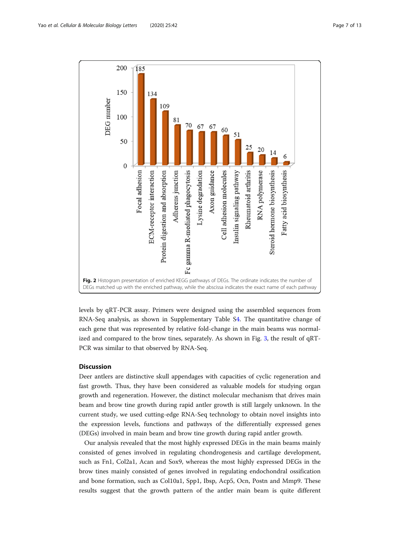<span id="page-6-0"></span>

levels by qRT-PCR assay. Primers were designed using the assembled sequences from RNA-Seq analysis, as shown in Supplementary Table [S4.](#page-10-0) The quantitative change of each gene that was represented by relative fold-change in the main beams was normalized and compared to the brow tines, separately. As shown in Fig. [3,](#page-8-0) the result of qRT-PCR was similar to that observed by RNA-Seq.

## **Discussion**

Deer antlers are distinctive skull appendages with capacities of cyclic regeneration and fast growth. Thus, they have been considered as valuable models for studying organ growth and regeneration. However, the distinct molecular mechanism that drives main beam and brow tine growth during rapid antler growth is still largely unknown. In the current study, we used cutting-edge RNA-Seq technology to obtain novel insights into the expression levels, functions and pathways of the differentially expressed genes (DEGs) involved in main beam and brow tine growth during rapid antler growth.

Our analysis revealed that the most highly expressed DEGs in the main beams mainly consisted of genes involved in regulating chondrogenesis and cartilage development, such as Fn1, Col2a1, Acan and Sox9, whereas the most highly expressed DEGs in the brow tines mainly consisted of genes involved in regulating endochondral ossification and bone formation, such as Col10a1, Spp1, Ibsp, Acp5, Ocn, Postn and Mmp9. These results suggest that the growth pattern of the antler main beam is quite different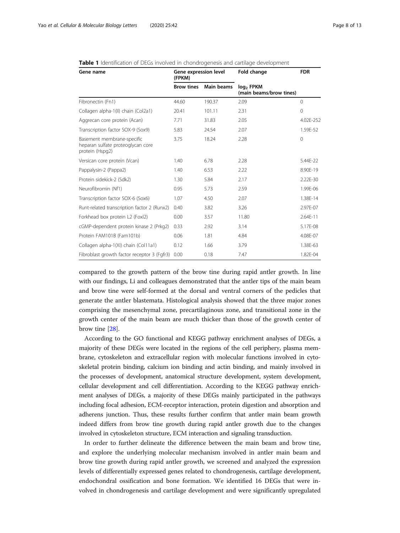| Gene name                                                                          | Gene expression level<br>(FPKM) |            | Fold change                                      | <b>FDR</b>  |
|------------------------------------------------------------------------------------|---------------------------------|------------|--------------------------------------------------|-------------|
|                                                                                    | <b>Brow tines</b>               | Main beams | log <sub>2</sub> FPKM<br>(main beams/brow tines) |             |
| Fibronectin (Fn1)                                                                  | 44.60                           | 190.37     | 2.09                                             | $\Omega$    |
| Collagen alpha-1(II) chain (Col2a1)                                                | 20.41                           | 101.11     | 2.31                                             | $\mathbf 0$ |
| Aggrecan core protein (Acan)                                                       | 7.71                            | 31.83      | 2.05                                             | 4.02E-252   |
| Transcription factor SOX-9 (Sox9)                                                  | 5.83                            | 24.54      | 2.07                                             | 1.59E-52    |
| Basement membrane-specific<br>heparan sulfate proteoglycan core<br>protein (Hspg2) | 3.75                            | 18.24      | 2.28                                             | $\mathbf 0$ |
| Versican core protein (Vcan)                                                       | 1.40                            | 6.78       | 2.28                                             | 5.44E-22    |
| Pappalysin-2 (Pappa2)                                                              | 1.40                            | 6.53       | 2.22                                             | 8.90E-19    |
| Protein sidekick-2 (Sdk2)                                                          | 1.30                            | 5.84       | 2.17                                             | 2.22E-30    |
| Neurofibromin (Nf1)                                                                | 0.95                            | 5.73       | 2.59                                             | 1.99E-06    |
| Transcription factor SOX-6 (Sox6)                                                  | 1.07                            | 4.50       | 2.07                                             | 1.38E-14    |
| Runt-related transcription factor 2 (Runx2)                                        | 0.40                            | 3.82       | 3.26                                             | 2.97E-07    |
| Forkhead box protein L2 (Foxl2)                                                    | 0.00                            | 3.57       | 11.80                                            | 2.64E-11    |
| cGMP-dependent protein kinase 2 (Prkg2)                                            | 0.33                            | 2.92       | 3.14                                             | 5.17E-08    |
| Protein FAM101B (Fam101b)                                                          | 0.06                            | 1.81       | 4.84                                             | 4.08E-07    |
| Collagen alpha-1(XI) chain (Col11a1)                                               | 0.12                            | 1.66       | 3.79                                             | 1.38E-63    |
| Fibroblast growth factor receptor 3 (Fgfr3)                                        | 0.00                            | 0.18       | 7.47                                             | 1.82E-04    |

#### <span id="page-7-0"></span>**Table 1** Identification of DEGs involved in chondrogenesis and cartilage development

compared to the growth pattern of the brow tine during rapid antler growth. In line with our findings, Li and colleagues demonstrated that the antler tips of the main beam and brow tine were self-formed at the dorsal and ventral corners of the pedicles that generate the antler blastemata. Histological analysis showed that the three major zones comprising the mesenchymal zone, precartilaginous zone, and transitional zone in the growth center of the main beam are much thicker than those of the growth center of brow tine [[28\]](#page-12-0).

According to the GO functional and KEGG pathway enrichment analyses of DEGs, a majority of these DEGs were located in the regions of the cell periphery, plasma membrane, cytoskeleton and extracellular region with molecular functions involved in cytoskeletal protein binding, calcium ion binding and actin binding, and mainly involved in the processes of development, anatomical structure development, system development, cellular development and cell differentiation. According to the KEGG pathway enrichment analyses of DEGs, a majority of these DEGs mainly participated in the pathways including focal adhesion, ECM-receptor interaction, protein digestion and absorption and adherens junction. Thus, these results further confirm that antler main beam growth indeed differs from brow tine growth during rapid antler growth due to the changes involved in cytoskeleton structure, ECM interaction and signaling transduction.

In order to further delineate the difference between the main beam and brow tine, and explore the underlying molecular mechanism involved in antler main beam and brow tine growth during rapid antler growth, we screened and analyzed the expression levels of differentially expressed genes related to chondrogenesis, cartilage development, endochondral ossification and bone formation. We identified 16 DEGs that were involved in chondrogenesis and cartilage development and were significantly upregulated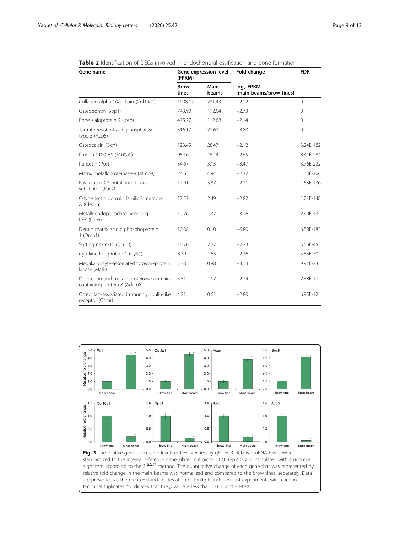## <span id="page-8-0"></span>Table 2 Identification of DEGs involved in endochondral ossification and bone formation

| Gene name                                                                 | Gene expression level<br>(FPKM) |               | Fold change                                      | <b>FDR</b>   |
|---------------------------------------------------------------------------|---------------------------------|---------------|--------------------------------------------------|--------------|
|                                                                           | <b>Brow</b><br>tines            | Main<br>beams | log <sub>2</sub> FPKM<br>(main beams/brow tines) |              |
| Collagen alpha-1(X) chain (Col10a1)                                       | 1008.17                         | 231.43        | $-2.12$                                          | $\mathbf{0}$ |
| Osteopontin (Spp1)                                                        | 743.90                          | 112.04        | $-2.73$                                          | $\mathbf 0$  |
| Bone sialoprotein 2 (lbsp)                                                | 495.27                          | 112.68        | $-2.14$                                          | $\Omega$     |
| Tartrate-resistant acid phosphatase<br>type $5$ (Acp5)                    | 316.17                          | 22.63         | $-3.80$                                          | $\mathbf 0$  |
| Osteocalcin (Ocn)                                                         | 123.45                          | 28.47         | $-2.12$                                          | 3.24E-182    |
| Protein S100-A9 (S100a9)                                                  | 95.16                           | 15.14         | $-2.65$                                          | 8.41E-284    |
| Periostin (Postn)                                                         | 34.67                           | 3.13          | $-3.47$                                          | 3.76E-222    |
| Matrix metalloproteinase-9 (Mmp9)                                         | 24.65                           | 4.94          | $-2.32$                                          | 1.43E-206    |
| Ras-related C3 botulinum toxin<br>substrate 2(Rac2)                       | 17.91                           | 3.87          | $-2.21$                                          | 1.53E-136    |
| C-type lectin domain family 3 member<br>A (Clec3a)                        | 17.57                           | 2.49          | $-2.82$                                          | 1.21E-148    |
| Metalloendopeptidase homolog<br>PEX (Phex)                                | 12.26                           | 1.37          | $-3.16$                                          | 2.49E-43     |
| Dentin matrix acidic phosphoprotein<br>$1$ (Dmp1)                         | 10.88                           | 0.10          | $-6.80$                                          | 6.58E-185    |
| Sorting nexin-10 (Snx10)                                                  | 10.70                           | 2.27          | $-2.23$                                          | 5.56E-45     |
| Cytokine-like protein 1 (Cytl1)                                           | 8.39                            | 1.63          | $-2.36$                                          | 5.85E-30     |
| Megakaryocyte-associated tyrosine-protein<br>kinase (Matk)                | 7.78                            | 0.88          | $-3.14$                                          | 9.94E-23     |
| Disintegrin and metalloproteinase domain-<br>containing protein 8 (Adam8) | 5.51                            | 1.17          | $-2.24$                                          | 7.38E-17     |
| Osteoclast-associated immunoglobulin-like<br>receptor (Oscar)             | 4.21                            | 0.61          | $-2.80$                                          | 6.95E-12     |

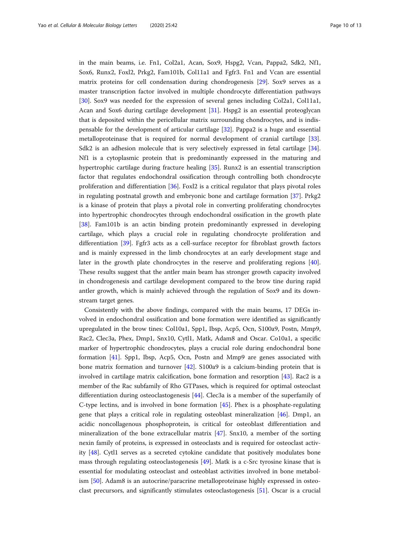in the main beams, i.e. Fn1, Col2a1, Acan, Sox9, Hspg2, Vcan, Pappa2, Sdk2, Nf1, Sox6, Runx2, Foxl2, Prkg2, Fam101b, Col11a1 and Fgfr3. Fn1 and Vcan are essential matrix proteins for cell condensation during chondrogenesis [[29\]](#page-12-0). Sox9 serves as a master transcription factor involved in multiple chondrocyte differentiation pathways [[30\]](#page-12-0). Sox9 was needed for the expression of several genes including Col2a1, Col11a1, Acan and Sox6 during cartilage development [[31\]](#page-12-0). Hspg2 is an essential proteoglycan that is deposited within the pericellular matrix surrounding chondrocytes, and is indispensable for the development of articular cartilage [[32\]](#page-12-0). Pappa2 is a huge and essential metalloproteinase that is required for normal development of cranial cartilage [[33](#page-12-0)]. Sdk2 is an adhesion molecule that is very selectively expressed in fetal cartilage [[34](#page-12-0)]. Nf1 is a cytoplasmic protein that is predominantly expressed in the maturing and hypertrophic cartilage during fracture healing [\[35](#page-12-0)]. Runx2 is an essential transcription factor that regulates endochondral ossification through controlling both chondrocyte proliferation and differentiation [[36](#page-12-0)]. Foxl2 is a critical regulator that plays pivotal roles in regulating postnatal growth and embryonic bone and cartilage formation [[37](#page-12-0)]. Prkg2 is a kinase of protein that plays a pivotal role in converting proliferating chondrocytes into hypertrophic chondrocytes through endochondral ossification in the growth plate [[38\]](#page-12-0). Fam101b is an actin binding protein predominantly expressed in developing cartilage, which plays a crucial role in regulating chondrocyte proliferation and differentiation [[39\]](#page-12-0). Fgfr3 acts as a cell-surface receptor for fibroblast growth factors and is mainly expressed in the limb chondrocytes at an early development stage and later in the growth plate chondrocytes in the reserve and proliferating regions [[40](#page-12-0)]. These results suggest that the antler main beam has stronger growth capacity involved in chondrogenesis and cartilage development compared to the brow tine during rapid antler growth, which is mainly achieved through the regulation of Sox9 and its downstream target genes.

Consistently with the above findings, compared with the main beams, 17 DEGs involved in endochondral ossification and bone formation were identified as significantly upregulated in the brow tines: Col10a1, Spp1, Ibsp, Acp5, Ocn, S100a9, Postn, Mmp9, Rac2, Clec3a, Phex, Dmp1, Snx10, Cytl1, Matk, Adam8 and Oscar. Co10a1, a specific marker of hypertrophic chondrocytes, plays a crucial role during endochondral bone formation [[41\]](#page-12-0). Spp1, Ibsp, Acp5, Ocn, Postn and Mmp9 are genes associated with bone matrix formation and turnover [[42](#page-12-0)]. S100a9 is a calcium-binding protein that is involved in cartilage matrix calcification, bone formation and resorption [\[43\]](#page-12-0). Rac2 is a member of the Rac subfamily of Rho GTPases, which is required for optimal osteoclast differentiation during osteoclastogenesis [\[44\]](#page-12-0). Clec3a is a member of the superfamily of C-type lectins, and is involved in bone formation [\[45](#page-12-0)]. Phex is a phosphate-regulating gene that plays a critical role in regulating osteoblast mineralization [\[46](#page-12-0)]. Dmp1, an acidic noncollagenous phosphoprotein, is critical for osteoblast differentiation and mineralization of the bone extracellular matrix [[47](#page-12-0)]. Snx10, a member of the sorting nexin family of proteins, is expressed in osteoclasts and is required for osteoclast activity [\[48\]](#page-12-0). Cytl1 serves as a secreted cytokine candidate that positively modulates bone mass through regulating osteoclastogenesis [[49\]](#page-12-0). Matk is a c-Src tyrosine kinase that is essential for modulating osteoclast and osteoblast activities involved in bone metabolism [\[50](#page-12-0)]. Adam8 is an autocrine/paracrine metalloproteinase highly expressed in osteoclast precursors, and significantly stimulates osteoclastogenesis [[51](#page-12-0)]. Oscar is a crucial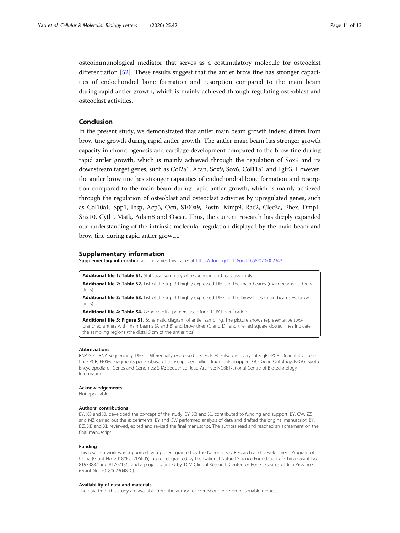<span id="page-10-0"></span>osteoimmunological mediator that serves as a costimulatory molecule for osteoclast differentiation [[52\]](#page-12-0). These results suggest that the antler brow tine has stronger capacities of endochondral bone formation and resorption compared to the main beam during rapid antler growth, which is mainly achieved through regulating osteoblast and osteoclast activities.

## Conclusion

In the present study, we demonstrated that antler main beam growth indeed differs from brow tine growth during rapid antler growth. The antler main beam has stronger growth capacity in chondrogenesis and cartilage development compared to the brow tine during rapid antler growth, which is mainly achieved through the regulation of Sox9 and its downstream target genes, such as Col2a1, Acan, Sox9, Sox6, Col11a1 and Fgfr3. However, the antler brow tine has stronger capacities of endochondral bone formation and resorption compared to the main beam during rapid antler growth, which is mainly achieved through the regulation of osteoblast and osteoclast activities by upregulated genes, such as Col10a1, Spp1, Ibsp, Acp5, Ocn, S100a9, Postn, Mmp9, Rac2, Clec3a, Phex, Dmp1, Snx10, Cytl1, Matk, Adam8 and Oscar. Thus, the current research has deeply expanded our understanding of the intrinsic molecular regulation displayed by the main beam and brow tine during rapid antler growth.

## Supplementary information

Supplementary information accompanies this paper at <https://doi.org/10.1186/s11658-020-00234-9>.

Additional file 1: Table S1. Statistical summary of sequencing and read assembly

Additional file 2: Table S2. List of the top 30 highly expressed DEGs in the main beams (main beams vs. brow tines)

Additional file 3: Table S3. List of the top 30 highly expressed DEGs in the brow tines (main beams vs. brow tines)

Additional file 4: Table S4. Gene-specific primers used for qRT-PCR verification

Additional file 5: Figure S1. Schematic diagram of antler sampling. The picture shows representative twobranched antlers with main beams (A and B) and brow tines (C and D), and the red square dotted lines indicate the sampling regions (the distal 5 cm of the antler tips).

#### Abbreviations

RNA-Seq: RNA sequencing; DEGs: Differentially expressed genes; FDR: False discovery rate; qRT-PCR: Quantitative realtime PCR; FPKM: Fragments per kilobase of transcript per million fragments mapped; GO: Gene Ontology; KEGG: Kyoto Encyclopedia of Genes and Genomes; SRA: Sequence Read Archive; NCBI: National Centre of Biotechnology Information

#### **Acknowledgements**

Not applicable.

#### Authors' contributions

BY, XB and XL developed the concept of the study; BY, XB and XL contributed to funding and support; BY, CW, ZZ and MZ carried out the experiments; BY and CW performed analysis of data and drafted the original manuscript; BY, DZ, XB and XL reviewed, edited and revised the final manuscript. The authors read and reached an agreement on the final manuscript.

#### Funding

This research work was supported by a project granted by the National Key Research and Development Program of China (Grant No. 2018YFC1706605), a project granted by the National Natural Science Foundation of China (Grant No. 81973887 and 81702136) and a project granted by TCM Clinical Research Center for Bone Diseases of Jilin Province (Grant No. 20180623048TC).

#### Availability of data and materials

The data from this study are available from the author for correspondence on reasonable request.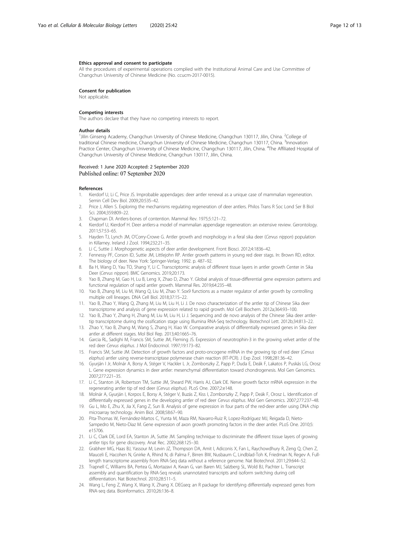#### <span id="page-11-0"></span>Ethics approval and consent to participate

All the procedures of experimental operations complied with the Institutional Animal Care and Use Committee of Changchun University of Chinese Medicine (No. ccucm-2017-0015).

#### Consent for publication

Not applicable.

#### Competing interests

The authors declare that they have no competing interests to report.

#### Author details

<sup>1</sup>Jilin Ginseng Academy, Changchun University of Chinese Medicine, Changchun 130117, Jilin, China. <sup>2</sup>College of traditional Chinese medicine, Changchun University of Chinese Medicine, Changchun 130117, China. <sup>3</sup>Innovation Practice Center, Changchun University of Chinese Medicine, Changchun 130117, Jilin, China. <sup>4</sup>The Affiliated Hospital of Changchun University of Chinese Medicine, Changchun 130117, Jilin, China.

## Received: 1 June 2020 Accepted: 2 September 2020 Published online: 07 September 2020

#### References

- Kierdorf U, Li C, Price JS. Improbable appendages: deer antler renewal as a unique case of mammalian regeneration. Semin Cell Dev Biol. 2009;20:535–42.
- 2. Price J, Allen S. Exploring the mechanisms regulating regeneration of deer antlers. Philos Trans R Soc Lond Ser B Biol Sci. 2004;359:809–22.
- 3. Chapman DI. Antlers-bones of contention. Mammal Rev. 1975;5:121–72.
- 4. Kierdorf U, Kierdorf H. Deer antlers-a model of mammalian appendage regeneration: an extensive review. Gerontology. 2011;57:53–65.
- 5. Hayden TJ, Lynch JM, O'Corry-Crowe G. Antler growth and morphology in a feral sika deer (Cervus nippon) population in Killarney. Ireland J Zool. 1994;232:21–35.
- 6. Li C, Suttie J. Morphogenetic aspects of deer antler development. Front Biosci. 2012;4:1836–42.
- 7. Fennessy PF, Corson ID, Suttie JM, Littlejohn RP. Antler growth patterns in young red deer stags. In: Brown RD, editor. The biology of deer. New York: Springer-Verlag; 1992. p. 487–92.
- 8. Ba H, Wang D, Yau TO, Shang Y, Li C. Transcriptomic analysis of different tissue layers in antler growth Center in Sika Deer (Cervus nippon). BMC Genomics. 2019;20:173.
- 9. Yao B, Zhang M, Gao H, Lu B, Leng X, Zhao D, Zhao Y. Global analysis of tissue-differential gene expression patterns and functional regulation of rapid antler growth. Mammal Res. 2019;64:235–48.
- 10. Yao B, Zhang M, Liu M, Wang Q, Liu M, Zhao Y. Sox9 functions as a master regulator of antler growth by controlling multiple cell lineages. DNA Cell Biol. 2018;37:15–22.
- 11. Yao B, Zhao Y, Wang Q, Zhang M, Liu M, Liu H, Li J. De novo characterization of the antler tip of Chinese Sika deer transcriptome and analysis of gene expression related to rapid growth. Mol Cell Biochem. 2012a;364:93–100.
- 12. Yao B, Zhao Y, Zhang H, Zhang M, Liu M, Liu H, Li J. Sequencing and de novo analysis of the Chinese Sika deer antlertip transcriptome during the ossification stage using Illumina RNA-Seq technology. Biotechnol Lett. 2012b;34:813–22.
- 13. Zhao Y, Yao B, Zhang M, Wang S, Zhang H, Xiao W. Comparative analysis of differentially expressed genes in Sika deer antler at different stages. Mol Biol Rep. 2013;40:1665–76.
- 14. Garcia RL, Sadighi M, Francis SM, Suttie JM, Fleming JS. Expression of neurotrophin-3 in the growing velvet antler of the red deer Cervus elaphus. J Mol Endocrinol. 1997;19:173–82.
- 15. Francis SM, Suttie JM. Detection of growth factors and proto-oncogene mRNA in the growing tip of red deer (Cervus elaphus) antler using reverse-transcriptase polymerase chain reaction (RT-PCR). J Exp Zool. 1998;281:36-42.
- 16. Gyurján I Jr, Molnár A, Borsy A, Stéger V, Hackler L Jr, Zomborszky Z, Papp P, Duda E, Deák F, Lakatos P, Puskás LG, Orosz L. Gene expression dynamics in deer antler: mesenchymal differentiation toward chondrogenesis. Mol Gen Genomics. 2007;277:221–35.
- 17. Li C, Stanton JA, Robertson TM, Suttie JM, Sheard PW, Harris AJ, Clark DE. Nerve growth factor mRNA expression in the regenerating antler tip of red deer (Cervus elaphus). PLoS One. 2007;2:e148.
- 18. Molnár A, Gyurján I, Korpos E, Borsy A, Stéger V, Buzás Z, Kiss I, Zomborszky Z, Papp P, Deák F, Orosz L. Identification of
- differentially expressed genes in the developing antler of red deer Cervus elaphus. Mol Gen Genomics. 2007;277:237–48. 19. Gu L, Mo E, Zhu X, Jia X, Fang Z, Sun B. Analysis of gene expression in four parts of the red-deer antler using DNA chip microarray technology. Anim Biol. 2008;58:67–90.
- 20. Pita-Thomas W, Fernández-Martos C, Yunta M, Maza RM, Navarro-Ruiz R, Lopez-Rodríguez MJ, Reigada D, Nieto-Sampedro M, Nieto-Diaz M. Gene expression of axon growth promoting factors in the deer antler. PLoS One. 2010;5: e15706.
- 21. Li C, Clark DE, Lord EA, Stanton JA, Suttie JM. Sampling technique to discriminate the different tissue layers of growing antler tips for gene discovery. Anat Rec. 2002;268:125–30.
- 22. Grabherr MG, Haas BJ, Yassour M, Levin JZ, Thompson DA, Amit I, Adiconis X, Fan L, Raychowdhury R, Zeng Q, Chen Z, Mauceli E, Hacohen N, Gnirke A, Rhind N, di Palma F, Birren BW, Nusbaum C, Lindblad-Toh K, Friedman N, Regev A. Fulllength transcriptome assembly from RNA-Seq data without a reference genome. Nat Biotechnol. 2011;29:644–52.
- 23. Trapnell C, Williams BA, Pertea G, Mortazavi A, Kwan G, van Baren MJ, Salzberg SL, Wold BJ, Pachter L. Transcript assembly and quantification by RNA-Seq reveals unannotated transcripts and isoform switching during cell differentiation. Nat Biotechnol. 2010;28:511–5.
- 24. Wang L, Feng Z, Wang X, Wang X, Zhang X. DEGseq: an R package for identifying differentially expressed genes from RNA-seq data. Bioinformatics. 2010;26:136–8.